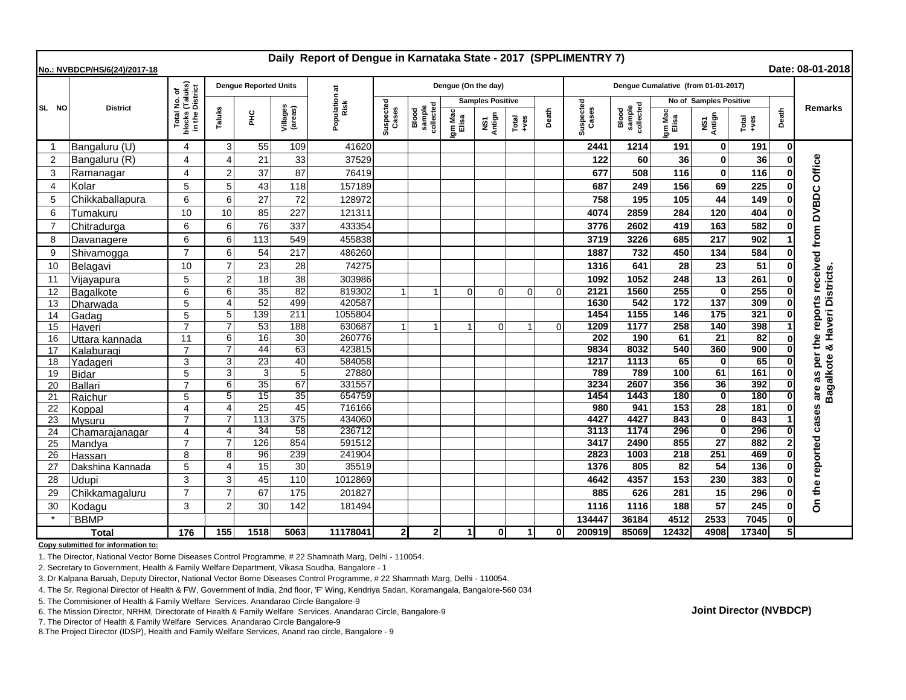| Daily Report of Dengue in Karnataka State - 2017 (SPPLIMENTRY 7)<br>Date: 08-01-2018<br>No.: NVBDCP/HS/6(24)/2017-18 |                           |                                                                 |                        |                              |                     |                       |                    |                              |                         |                |                |          |                                     |                              |                         |                        |                 |       |                                 |
|----------------------------------------------------------------------------------------------------------------------|---------------------------|-----------------------------------------------------------------|------------------------|------------------------------|---------------------|-----------------------|--------------------|------------------------------|-------------------------|----------------|----------------|----------|-------------------------------------|------------------------------|-------------------------|------------------------|-----------------|-------|---------------------------------|
|                                                                                                                      | <b>District</b>           | l No. of<br>(Taluks)<br>District<br>Total<br>blocks<br>in the I |                        | <b>Dengue Reported Units</b> |                     |                       |                    |                              | Dengue (On the day)     |                |                |          | Dengue Cumalative (from 01-01-2017) |                              |                         |                        |                 |       |                                 |
| SL NO                                                                                                                |                           |                                                                 |                        |                              |                     | Population at<br>Risk |                    |                              | <b>Samples Positive</b> |                |                |          |                                     |                              | No of Samples Positive  |                        |                 |       |                                 |
|                                                                                                                      |                           |                                                                 | Taluks                 | 울                            | Villages<br>(areas) |                       | Suspected<br>Cases | sample<br>collected<br>Blood | Igm Mac<br>Elisa        | NS1<br>Antign  | Total<br>+ves  | Death    | Suspected<br>Cases                  | sample<br>collected<br>Blood | Igm Mac<br>Elisa        | NS1<br>Antign          | Total<br>+ves   | Death | <b>Remarks</b>                  |
| -1                                                                                                                   | Bangaluru (U)             | 4                                                               | 3                      | 55                           | 109                 | 41620                 |                    |                              |                         |                |                |          | 2441                                | 1214                         | 191                     | 0                      | 191             | 0     |                                 |
| $\overline{2}$                                                                                                       | Bangaluru (R)             | 4                                                               | $\boldsymbol{\Lambda}$ | 21                           | 33                  | 37529                 |                    |                              |                         |                |                |          | 122                                 | 60                           | 36                      | O                      | 36              |       | Office                          |
| 3                                                                                                                    | Ramanagar                 | 4                                                               | $\overline{2}$         | 37                           | 87                  | 76419                 |                    |                              |                         |                |                |          | 677                                 | 508                          | 116                     | $\bf{0}$               | 116             |       |                                 |
| $\overline{4}$                                                                                                       | Kolar                     | 5                                                               | 5                      | 43                           | 118                 | 157189                |                    |                              |                         |                |                |          | 687                                 | 249                          | 156                     | 69                     | 225             |       |                                 |
| 5                                                                                                                    | Chikkaballapura           | 6                                                               | 6                      | 27                           | 72                  | 128972                |                    |                              |                         |                |                |          | 758                                 | 195                          | 105                     | 44                     | 149             |       |                                 |
| 6                                                                                                                    | Tumakuru                  | 10                                                              | 10                     | 85                           | 227                 | 121311                |                    |                              |                         |                |                |          | 4074                                | 2859                         | 284                     | 120                    | 404             |       |                                 |
| 7                                                                                                                    | Chitradurga               | 6                                                               | 6                      | 76                           | 337                 | 433354                |                    |                              |                         |                |                |          | 3776                                | 2602                         | 419                     | 163                    | 582             |       |                                 |
| 8                                                                                                                    | Davanagere                | 6                                                               | 6                      | 113                          | 549                 | 455838                |                    |                              |                         |                |                |          | 3719                                | 3226                         | 685                     | 217                    | 902             |       | the reports received from DVBDC |
| 9                                                                                                                    | Shivamogga                | $\overline{7}$                                                  | 6                      | 54                           | 217                 | 486260                |                    |                              |                         |                |                |          | 1887                                | 732                          | 450                     | 134                    | 584             |       |                                 |
| 10                                                                                                                   | Belagavi                  | 10                                                              | $\overline{7}$         | 23                           | 28                  | 74275                 |                    |                              |                         |                |                |          | 1316                                | 641                          | 28                      | 23                     | 51              |       |                                 |
| 11                                                                                                                   | Vijayapura                | 5                                                               | $\overline{2}$         | 18                           | 38                  | 303986                |                    |                              |                         |                |                |          | 1092                                | 1052                         | 248                     | 13                     | 261             |       | Bagalkote & Haveri Districts    |
| 12                                                                                                                   | Bagalkote                 | 6                                                               | 6                      | $\overline{35}$              | 82                  | 819302                | $\overline{1}$     |                              | $\Omega$                | $\Omega$       | $\Omega$       | $\Omega$ | 2121                                | 1560                         | 255                     | $\Omega$               | 255             |       |                                 |
| 13                                                                                                                   | Dharwada                  | 5                                                               | $\boldsymbol{\Delta}$  | 52                           | 499                 | 420587                |                    |                              |                         |                |                |          | 1630                                | 542                          | 172                     | 137                    | 309             |       |                                 |
| 14                                                                                                                   | Gadag                     | 5                                                               | 5                      | 139                          | 211                 | 1055804               |                    |                              |                         |                |                |          | 1454                                | 1155                         | 146                     | 175                    | 321             |       |                                 |
| 15                                                                                                                   | Haveri                    | $\overline{7}$                                                  | 7                      | 53                           | 188                 | 630687                | $\mathbf 1$        | 1                            | -1                      | $\overline{0}$ | 1              | $\Omega$ | 1209                                | 1177                         | 258                     | 140                    | 398             |       |                                 |
| 16                                                                                                                   | Uttara kannada            | 11                                                              | 6                      | 16                           | 30                  | 260776                |                    |                              |                         |                |                |          | 202                                 | 190                          | 61                      | $\overline{21}$        | $\overline{82}$ |       |                                 |
| 17                                                                                                                   | Kalaburagi                | $\overline{7}$                                                  |                        | $\overline{44}$              | 63                  | 423815                |                    |                              |                         |                |                |          | 9834                                | 8032                         | 540                     | 360                    | 900             | 0l    |                                 |
| 18                                                                                                                   | Yadageri                  | 3                                                               | 3                      | 23                           | 40                  | 584058                |                    |                              |                         |                |                |          | 1217                                | 1113                         | 65                      | 0                      | 65              |       | are as per                      |
| 19                                                                                                                   | <b>Bidar</b>              | 5                                                               | 3                      | 3                            | $\overline{5}$      | 27880                 |                    |                              |                         |                |                |          | 789                                 | 789                          | 100                     | 61                     | 161             |       |                                 |
| 20                                                                                                                   | <b>Ballari</b>            | $\overline{7}$                                                  | 6                      | 35                           | 67                  | 331557                |                    |                              |                         |                |                |          | 3234                                | 2607                         | 356                     | 36                     | 392             |       |                                 |
| 21                                                                                                                   | Raichur                   | 5                                                               | 5                      | 15                           | 35                  | 654759                |                    |                              |                         |                |                |          | 1454                                | 1443                         | 180                     | $\mathbf 0$            | 180             |       |                                 |
| 22                                                                                                                   | Koppal                    | 4                                                               | $\boldsymbol{\Delta}$  | $\overline{25}$              | 45                  | 716166                |                    |                              |                         |                |                |          | 980                                 | 941                          | 153                     | 28                     | 181             |       | 89                              |
| 23                                                                                                                   | Mysuru                    | $\overline{7}$                                                  |                        | 113<br>34                    | 375                 | 434060<br>236712      |                    |                              |                         |                |                |          | 4427                                | 4427<br>1174                 | 843<br>296              | $\mathbf 0$            | 843<br>296      |       | cas                             |
| 24                                                                                                                   | Chamarajanagar            | 4<br>7                                                          | $\boldsymbol{\Delta}$  |                              | 58<br>854           |                       |                    |                              |                         |                |                |          | 3113                                |                              |                         | 0                      |                 |       |                                 |
| 25                                                                                                                   | Mandya                    | 8                                                               | 8                      | 126<br>96                    | 239                 | 591512<br>241904      |                    |                              |                         |                |                |          | 3417<br>2823                        | 2490<br>1003                 | 855<br>$\overline{218}$ | $\overline{27}$<br>251 | 882<br>469      |       |                                 |
| 26                                                                                                                   | Hassan                    |                                                                 | $\boldsymbol{\Delta}$  | 15                           | 30                  | 35519                 |                    |                              |                         |                |                |          | 1376                                | 805                          | 82                      | 54                     | 136             |       |                                 |
| 27<br>28                                                                                                             | Dakshina Kannada<br>Udupi | 5<br>3                                                          | 3                      | 45                           | 110                 | 1012869               |                    |                              |                         |                |                |          | 4642                                | 4357                         | 153                     | 230                    | 383             |       | On the reported                 |
| 29                                                                                                                   | Chikkamagaluru            | $\overline{7}$                                                  | $\overline{7}$         | 67                           | 175                 | 201827                |                    |                              |                         |                |                |          | 885                                 | 626                          | 281                     | 15                     | 296             |       |                                 |
| 30                                                                                                                   |                           | 3                                                               | $\overline{2}$         | 30                           | 142                 | 181494                |                    |                              |                         |                |                |          | 1116                                | 1116                         | 188                     | 57                     | 245             |       |                                 |
|                                                                                                                      | Kodagu                    |                                                                 |                        |                              |                     |                       |                    |                              |                         |                |                |          |                                     |                              |                         |                        | 7045            |       |                                 |
| <b>BBMP</b><br><b>Total</b>                                                                                          |                           | 176                                                             | 155                    | 1518                         | 5063                | 11178041              | $\overline{2}$     | $\mathbf{2}$                 | -11                     | 0l             | $\overline{1}$ | $\Omega$ | 134447<br>200919                    | 36184<br>85069               | 4512<br>12432           | 2533<br>4908           | 17340           | 5Ι    |                                 |

**Copy submitted for information to:**

1. The Director, National Vector Borne Diseases Control Programme, # 22 Shamnath Marg, Delhi - 110054.

2. Secretary to Government, Health & Family Welfare Department, Vikasa Soudha, Bangalore - 1

3. Dr Kalpana Baruah, Deputy Director, National Vector Borne Diseases Control Programme, # 22 Shamnath Marg, Delhi - 110054.

4. The Sr. Regional Director of Health & FW, Government of India, 2nd floor, 'F' Wing, Kendriya Sadan, Koramangala, Bangalore-560 034

5. The Commisioner of Health & Family Welfare Services. Anandarao Circle Bangalore-9

6. The Mission Director, NRHM, Directorate of Health & Family Welfare Services. Anandarao Circle, Bangalore-9

7. The Director of Health & Family Welfare Services. Anandarao Circle Bangalore-9

8.The Project Director (IDSP), Health and Family Welfare Services, Anand rao circle, Bangalore - 9

**Joint Director (NVBDCP)**